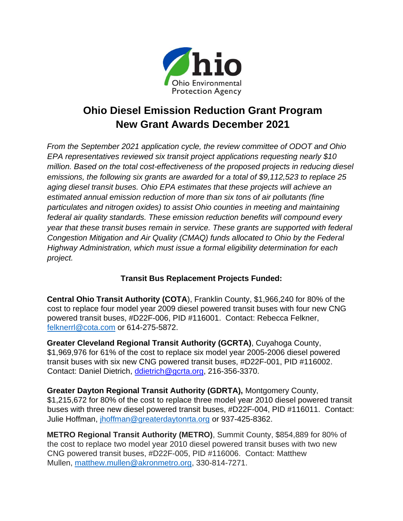

## **Ohio Diesel Emission Reduction Grant Program New Grant Awards December 2021**

*From the September 2021 application cycle, the review committee of ODOT and Ohio EPA representatives reviewed six transit project applications requesting nearly \$10 million. Based on the total cost-effectiveness of the proposed projects in reducing diesel emissions, the following six grants are awarded for a total of \$9,112,523 to replace 25 aging diesel transit buses. Ohio EPA estimates that these projects will achieve an estimated annual emission reduction of more than six tons of air pollutants (fine particulates and nitrogen oxides) to assist Ohio counties in meeting and maintaining federal air quality standards. These emission reduction benefits will compound every year that these transit buses remain in service. These grants are supported with federal Congestion Mitigation and Air Quality (CMAQ) funds allocated to Ohio by the Federal Highway Administration, which must issue a formal eligibility determination for each project.* 

## **Transit Bus Replacement Projects Funded:**

**Central Ohio Transit Authority (COTA**), Franklin County, \$1,966,240 for 80% of the cost to replace four model year 2009 diesel powered transit buses with four new CNG powered transit buses, #D22F-006, PID #116001. Contact: Rebecca Felkner, [felknerrl@cota.com](mailto:felknerrl@cota.com) or 614-275-5872.

**Greater Cleveland Regional Transit Authority (GCRTA)**, Cuyahoga County, \$1,969,976 for 61% of the cost to replace six model year 2005-2006 diesel powered transit buses with six new CNG powered transit buses, #D22F-001, PID #116002. Contact: Daniel Dietrich, [ddietrich@gcrta.org,](mailto:ddietrich@gcrta.org) 216-356-3370.

**Greater Dayton Regional Transit Authority (GDRTA),** Montgomery County, \$1,215,672 for 80% of the cost to replace three model year 2010 diesel powered transit buses with three new diesel powered transit buses, #D22F-004, PID #116011. Contact: Julie Hoffman, [jhoffman@greaterdaytonrta.org](mailto:jhoffman@greaterdaytonrta.org) or 937-425-8362.

**METRO Regional Transit Authority (METRO)**, Summit County, \$854,889 for 80% of the cost to replace two model year 2010 diesel powered transit buses with two new CNG powered transit buses, #D22F-005, PID #116006. Contact: Matthew Mullen, [matthew.mullen@akronmetro.org,](mailto:matthew.mullen@akronmetro.org) 330-814-7271.